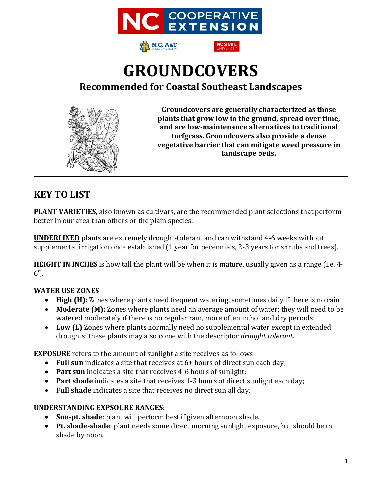



**IC STATE** 

# **GROUNDCOVERS Recommended for Coastal Southeast Landscapes**



**Groundcovers are generally characterized as those plants that grow low to the ground, spread over time, and are low-maintenance alternatives to traditional turfgrass. Groundcovers also provide a dense vegetative barrier that can mitigate weed pressure in landscape beds.** 

### **KEY TO LIST**

**PLANT VARIETIES,** also known as cultivars, are the recommended plant selections that perform better in our area than others or the plain species.

**UNDERLINED** plants are extremely drought-tolerant and can withstand 4-6 weeks without supplemental irrigation once established (1 year for perennials, 2-3 years for shrubs and trees).

**HEIGHT IN INCHES** is how tall the plant will be when it is mature, usually given as a range (i.e. 4- 6').

### **WATER USE ZONES**

- **High (H):** Zones where plants need frequent watering, sometimes daily if there is no rain;
- **Moderate (M):** Zones where plants need an average amount of water; they will need to be watered moderately if there is no regular rain, more often in hot and dry periods;
- **Low (L)** Zones where plants normally need no supplemental water except in extended droughts; these plants may also come with the descriptor *drought tolerant*.

**EXPOSURE** refers to the amount of sunlight a site receives as follows:

- **Full sun** indicates a site that receives at 6+ hours of direct sun each day;
- **Part sun** indicates a site that receives 4-6 hours of sunlight;
- **Part shade** indicates a site that receives 1-3 hours of direct sunlight each day;
- **Full shade** indicates a site that receives no direct sun all day.

#### **UNDERSTANDING EXPSOURE RANGES**:

- **Sun-pt. shade**: plant will perform best if given afternoon shade.
- **Pt. shade-shade**: plant needs some direct morning sunlight exposure, but should be in shade by noon.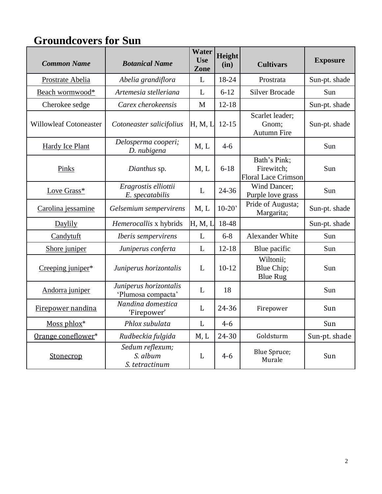# **Groundcovers for Sun**

| <b>Common Name</b>            | <b>Botanical Name</b>                         | Water<br><b>Use</b><br>Zone | Height<br>(in) | <b>Cultivars</b>                                         | <b>Exposure</b> |
|-------------------------------|-----------------------------------------------|-----------------------------|----------------|----------------------------------------------------------|-----------------|
| Prostrate Abelia              | Abelia grandiflora                            | L                           | 18-24          | Prostrata                                                | Sun-pt. shade   |
| Beach wormwood*               | Artemesia stelleriana                         | L                           | $6 - 12$       | <b>Silver Brocade</b>                                    | Sun             |
| Cherokee sedge                | Carex cherokeensis                            | M                           | $12 - 18$      |                                                          | Sun-pt. shade   |
| <b>Willowleaf Cotoneaster</b> | Cotoneaster salicifolius                      | H, M, I                     | $12 - 15$      | Scarlet leader;<br>Gnom;<br><b>Autumn Fire</b>           | Sun-pt. shade   |
| Hardy Ice Plant               | Delosperma cooperi;<br>D. nubigena            | M, L                        | $4 - 6$        |                                                          | Sun             |
| Pinks                         | Dianthus sp.                                  | M, L                        | $6 - 18$       | Bath's Pink;<br>Firewitch;<br><b>Floral Lace Crimson</b> | Sun             |
| Love Grass*                   | Eragrostis elliottii<br>E. specatabilis       | L                           | 24-36          | Wind Dancer;<br>Purple love grass                        | Sun             |
| Carolina jessamine            | Gelsemium sempervirens                        | M, L                        | $10-20'$       | Pride of Augusta;<br>Margarita;                          | Sun-pt. shade   |
| Daylily                       | Hemerocallis x hybrids                        | H, M, L                     | 18-48          |                                                          | Sun-pt. shade   |
| Candytuft                     | Iberis sempervirens                           | L                           | $6 - 8$        | Alexander White                                          | Sun             |
| Shore juniper                 | Juniperus conferta                            | L                           | $12 - 18$      | Blue pacific                                             | Sun             |
| Creeping juniper*             | Juniperus horizontalis                        | $\mathbf{L}$                | $10 - 12$      | Wiltonii;<br>Blue Chip;<br><b>Blue Rug</b>               | Sun             |
| Andorra juniper               | Juniperus horizontalis<br>'Plumosa compacta'  | L                           | 18             |                                                          | Sun             |
| Firepower nandina             | Nandina domestica<br>'Firepower'              | L                           | 24-36          | Firepower                                                | Sun             |
| Moss phlox*                   | Phlox subulata                                | $\mathbf{L}$                | $4 - 6$        |                                                          | Sun             |
| Orange coneflower*            | Rudbeckia fulgida                             | M, L                        | 24-30          | Goldsturm                                                | Sun-pt. shade   |
| Stonecrop                     | Sedum reflexum;<br>S. album<br>S. tetractinum | L                           | $4 - 6$        | <b>Blue Spruce;</b><br>Murale                            | Sun             |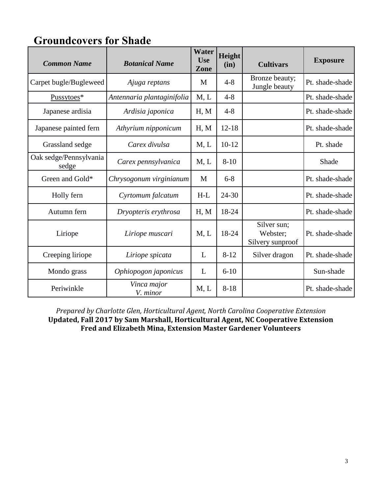| <b>Groundcovers for Shade</b> |
|-------------------------------|
|-------------------------------|

| <b>Common Name</b>              | <b>Botanical Name</b>      | <b>Water</b><br><b>Use</b><br>Zone | Height<br>(in) | <b>Cultivars</b>                            | <b>Exposure</b> |
|---------------------------------|----------------------------|------------------------------------|----------------|---------------------------------------------|-----------------|
| Carpet bugle/Bugleweed          | Ajuga reptans              | M                                  | $4 - 8$        | Bronze beauty;<br>Jungle beauty             | Pt. shade-shade |
| Pussytoes*                      | Antennaria plantaginifolia | M, L                               | $4 - 8$        |                                             | Pt. shade-shade |
| Japanese ardisia                | Ardisia japonica           | H, M                               | $4 - 8$        |                                             | Pt. shade-shade |
| Japanese painted fern           | Athyrium nipponicum        | H, M                               | $12 - 18$      |                                             | Pt. shade-shade |
| Grassland sedge                 | Carex divulsa              | M, L                               | $10-12$        |                                             | Pt. shade       |
| Oak sedge/Pennsylvania<br>sedge | Carex pennsylvanica        | M, L                               | $8 - 10$       |                                             | Shade           |
| Green and Gold*                 | Chrysogonum virginianum    | M                                  | $6 - 8$        |                                             | Pt. shade-shade |
| Holly fern                      | Cyrtomum falcatum          | $H-L$                              | 24-30          |                                             | Pt. shade-shade |
| Autumn fern                     | Dryopteris erythrosa       | H, M                               | 18-24          |                                             | Pt. shade-shade |
| Liriope                         | Liriope muscari            | M, L                               | 18-24          | Silver sun;<br>Webster;<br>Silvery sunproof | Pt. shade-shade |
| Creeping liriope                | Liriope spicata            | L                                  | $8 - 12$       | Silver dragon                               | Pt. shade-shade |
| Mondo grass                     | Ophiopogon japonicus       | L                                  | $6 - 10$       |                                             | Sun-shade       |
| Periwinkle                      | Vinca major<br>V. minor    | M, L                               | $8 - 18$       |                                             | Pt. shade-shade |

*Prepared by Charlotte Glen, Horticultural Agent, North Carolina Cooperative Extension* **Updated, Fall 2017 by Sam Marshall, Horticultural Agent, NC Cooperative Extension Fred and Elizabeth Mina, Extension Master Gardener Volunteers**